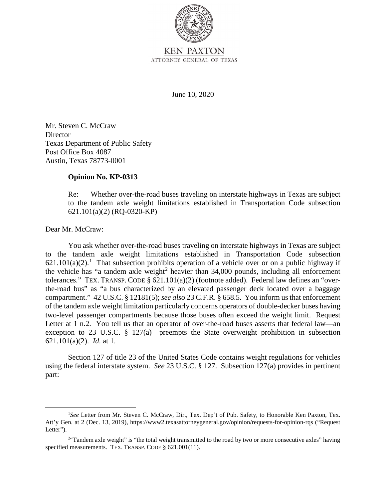

June 10, 2020

Mr. Steven C. McCraw **Director** Texas Department of Public Safety Post Office Box 4087 Austin, Texas 78773-0001

## **Opinion No. KP-0313**

Re: Whether over-the-road buses traveling on interstate highways in Texas are subject to the tandem axle weight limitations established in Transportation Code subsection 621.101(a)(2) (RQ-0320-KP)

Dear Mr. McCraw:

 tolerances." TEX. TRANSP. CODE § 621.101(a)(2) (footnote added). Federal law defines an "over- two-level passenger compartments because those buses often exceed the weight limit. Request You ask whether over-the-road buses traveling on interstate highways in Texas are subject to the tandem axle weight limitations established in Transportation Code subsection  $621.101(a)(2)$ .<sup>1</sup> That subsection prohibits operation of a vehicle over or on a public highway if the vehicle has "a tandem axle weight<sup>2</sup> heavier than  $34,000$  pounds, including all enforcement the-road bus" as "a bus characterized by an elevated passenger deck located over a baggage compartment." 42 U.S.C. § 12181(5); *see also* 23 C.F.R. § 658.5. You inform us that enforcement of the tandem axle weight limitation particularly concerns operators of double-decker buses having Letter at 1 n.2. You tell us that an operator of over-the-road buses asserts that federal law—an exception to 23 U.S.C. § 127(a)—preempts the State overweight prohibition in subsection 621.101(a)(2). *Id*. at 1.

 using the federal interstate system. *See* 23 U.S.C. § 127. Subsection 127(a) provides in pertinent Section 127 of title 23 of the United States Code contains weight regulations for vehicles part:

<sup>&</sup>lt;sup>1</sup>See Letter from Mr. Steven C. McCraw, Dir., Tex. Dep't of Pub. Safety, to Honorable Ken Paxton, Tex. Att'y Gen. at 2 (Dec. 13, 2019), https://www2.texasattorneygeneral.gov/opinion/requests-for-opinion-rqs ("Request Letter").

specified measurements. TEX. TRANSP. CODE § 621.001(11). <sup>2</sup> Tandem axle weight" is "the total weight transmitted to the road by two or more consecutive axles" having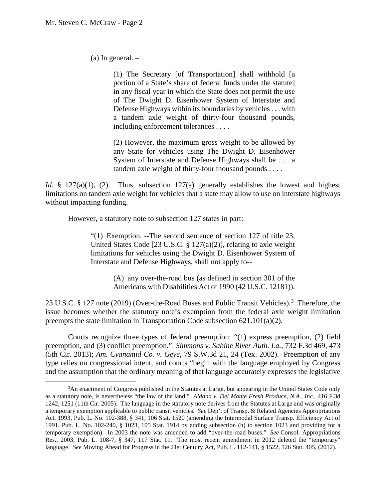(a) In general. –

(1) The Secretary [of Transportation] shall withhold [a portion of a State's share of federal funds under the statute] in any fiscal year in which the State does not permit the use of The Dwight D. Eisenhower System of Interstate and Defense Highways within its boundaries by vehicles . . . with a tandem axle weight of thirty-four thousand pounds, including enforcement tolerances . . . .

(2) However, the maximum gross weight to be allowed by any State for vehicles using The Dwight D. Eisenhower System of Interstate and Defense Highways shall be . . . a tandem axle weight of thirty-four thousand pounds . . . .

*Id.* § 127(a)(1), (2). Thus, subsection 127(a) generally establishes the lowest and highest limitations on tandem axle weight for vehicles that a state may allow to use on interstate highways without impacting funding.

However, a statutory note to subsection 127 states in part:

"(1) Exemption. --The second sentence of section 127 of title 23, United States Code [23 U.S.C. § 127(a)(2)], relating to axle weight limitations for vehicles using the Dwight D. Eisenhower System of Interstate and Defense Highways, shall not apply to--

> (A) any over-the-road bus (as defined in section 301 of the Americans with Disabilities Act of 1990 (42 U.S.C. 12181)).

23 U.S.C. § 127 note (2019) (Over-the-Road Buses and Public Transit Vehicles).<sup>3</sup> Therefore, the issue becomes whether the statutory note's exemption from the federal axle weight limitation preempts the state limitation in Transportation Code subsection  $621.101(a)(2)$ .

 preemption, and (3) conflict preemption." *Simmons v. Sabine River Auth. La.*, 732 F.3d 469, 473 Courts recognize three types of federal preemption: "(1) express preemption, (2) field (5th Cir. 2013); *Am. Cyanamid Co. v. Geye*, 79 S.W.3d 21, 24 (Tex. 2002). Preemption of any type relies on congressional intent, and courts "begin with the language employed by Congress and the assumption that the ordinary meaning of that language accurately expresses the legislative

 1242, 1251 (11th Cir. 2005). The language in the statutory note derives from the Statutes at Large and was originally a temporary exemption applicable to public transit vehicles. *See* Dep't of Transp. & Related Agencies Appropriations Act, 1993, Pub. L. No. 102-388, § 341, 106 Stat. 1520 (amending the Intermodal Surface Transp. Efficiency Act of 1991, Pub. L. No. 102-240, § 1023, 105 Stat. 1914 by adding subsection (h) to section 1023 and providing for a temporary exemption). In 2003 the note was amended to add "over-the-road buses." *See* Consol. Appropriations language. *See* Moving Ahead for Progress in the 21st Century Act, Pub. L. 112-141, § 1522, 126 Stat. 405, (2012). 3 An enactment of Congress published in the Statutes at Large, but appearing in the United States Code only as a statutory note, is nevertheless "the law of the land." *Aldana v. Del Monte Fresh Produce, N.A., Inc.*, 416 F.3d Res., 2003, Pub. L. 108-7, § 347, 117 Stat. 11. The most recent amendment in 2012 deleted the "temporary"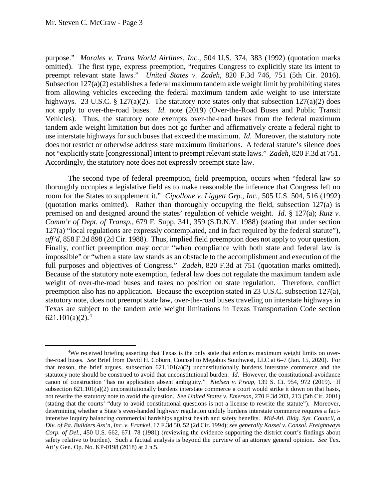purpose." *Morales v. Trans World Airlines, Inc*., 504 U.S. 374, 383 (1992) (quotation marks not "explicitly state [congressional] intent to preempt relevant state laws." *Zadeh*, 820 F.3d at 751. omitted). The first type, express preemption, "requires Congress to explicitly state its intent to preempt relevant state laws." *United States v. Zadeh*, 820 F.3d 746, 751 (5th Cir. 2016). Subsection 127(a)(2) establishes a federal maximum tandem axle weight limit by prohibiting states from allowing vehicles exceeding the federal maximum tandem axle weight to use interstate highways. 23 U.S.C. § 127(a)(2). The statutory note states only that subsection 127(a)(2) does not apply to over-the-road buses. *Id*. note (2019) (Over-the-Road Buses and Public Transit Vehicles). Thus, the statutory note exempts over-the-road buses from the federal maximum tandem axle weight limitation but does not go further and affirmatively create a federal right to use interstate highways for such buses that exceed the maximum. *Id*. Moreover, the statutory note does not restrict or otherwise address state maximum limitations. A federal statute's silence does Accordingly, the statutory note does not expressly preempt state law.

 room for the States to supplement it." *Cipollone v. Liggett Grp., Inc.*, 505 U.S. 504, 516 (1992) premised on and designed around the states' regulation of vehicle weight. *Id*. § 127(a); *Ruiz v.*  full purposes and objectives of Congress." *Zadeh*, 820 F.3d at 751 (quotation marks omitted). The second type of federal preemption, field preemption, occurs when "federal law so thoroughly occupies a legislative field as to make reasonable the inference that Congress left no (quotation marks omitted). Rather than thoroughly occupying the field, subsection 127(a) is *Comm'r of Dept. of Transp.*, 679 F. Supp. 341, 359 (S.D.N.Y. 1988) (stating that under section 127(a) "local regulations are expressly contemplated, and in fact required by the federal statute"), *aff'd*, 858 F.2d 898 (2d Cir. 1988). Thus, implied field preemption does not apply to your question. Finally, conflict preemption may occur "when compliance with both state and federal law is impossible" or "when a state law stands as an obstacle to the accomplishment and execution of the Because of the statutory note exemption, federal law does not regulate the maximum tandem axle weight of over-the-road buses and takes no position on state regulation. Therefore, conflict preemption also has no application. Because the exception stated in 23 U.S.C. subsection 127(a), statutory note, does not preempt state law, over-the-road buses traveling on interstate highways in Texas are subject to the tandem axle weight limitations in Texas Transportation Code section  $621.101(a)(2).<sup>4</sup>$ 

 4 We received briefing asserting that Texas is the only state that enforces maximum weight limits on over- the-road buses. *See* Brief from David H. Coburn, Counsel to Megabus Southwest, LLC at 6–7 (Jan. 15, 2020). For statutory note should be construed to avoid that unconstitutional burden. *Id*. However, the constitutional-avoidance canon of construction "has no application absent ambiguity." *Nielsen v. Preap*, 139 S. Ct. 954, 972 (2019). If subsection 621.101(a)(2) unconstitutionally burdens interstate commerce a court would strike it down on that basis, not rewrite the statutory note to avoid the question. *See United States v. Emerson*, 270 F.3d 203, 213 (5th Cir. 2001) intensive inquiry balancing commercial hardships against health and safety benefits. *Mid-Atl. Bldg. Sys. Council, a*  safety relative to burden). Such a factual analysis is beyond the purview of an attorney general opinion. *See* Tex. that reason, the brief argues, subsection  $621.101(a)(2)$  unconstitutionally burdens interstate commerce and the (stating that the courts' "duty to avoid constitutional questions is not a license to rewrite the statute"). Moreover, determining whether a State's even-handed highway regulation unduly burdens interstate commerce requires a fact-*Div. of Pa. Builders Ass'n, Inc. v. Frankel*, 17 F.3d 50, 52 (2d Cir. 1994); *see generally Kassel v. Consol. Freightways Corp. of Del.*, 450 U.S. 662, 671–78 (1981) (reviewing the evidence supporting the district court's findings about Att'y Gen. Op. No. KP-0198 (2018) at 2 n.5.